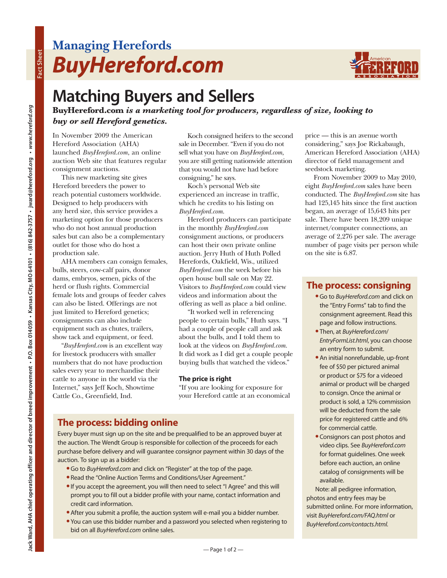# **Managing Herefords** *BuyHereford.com*



## **Matching Buyers and Sellers**

**BuyHereford.com** *is a marketing tool for producers, regardless of size, looking to buy or sell Hereford genetics.*

In November 2009 the American Hereford Association (AHA) launched *BuyHereford.com*, an online auction Web site that features regular consignment auctions.

This new marketing site gives Hereford breeders the power to reach potential customers worldwide. Designed to help producers with any herd size, this service provides a marketing option for those producers who do not host annual production sales but can also be a complementary outlet for those who do host a production sale.

AHA members can consign females, bulls, steers, cow-calf pairs, donor dams, embryos, semen, picks of the herd or flush rights. Commercial female lots and groups of feeder calves can also be listed. Offerings are not just limited to Hereford genetics; consignments can also include equipment such as chutes, trailers, show tack and equipment, or feed.

"*BuyHereford.com* is an excellent way for livestock producers with smaller numbers that do not have production sales every year to merchandise their cattle to anyone in the world via the Internet," says Jeff Koch, Showtime Cattle Co., Greenfield, Ind.

Koch consigned heifers to the second sale in December. "Even if you do not sell what you have on *BuyHereford.com*, you are still getting nationwide attention that you would not have had before consigning," he says.

Koch's personal Web site experienced an increase in traffic, which he credits to his listing on *BuyHereford.com*.

Hereford producers can participate in the monthly *BuyHereford.com* consignment auctions, or producers can host their own private online auction. Jerry Huth of Huth Polled Herefords, Oakfield, Wis., utilized *BuyHereford.com* the week before his open house bull sale on May 22. Visitors to *BuyHereford.com* could view videos and information about the offering as well as place a bid online.

"It worked well in referencing people to certain bulls," Huth says. "I had a couple of people call and ask about the bulls, and I told them to look at the videos on *BuyHereford.com*. It did work as I did get a couple people buying bulls that watched the videos."

#### **The price is right**

"If you are looking for exposure for your Hereford cattle at an economical

### **The process: bidding online**

Every buyer must sign up on the site and be prequalified to be an approved buyer at the auction. The Wendt Group is responsible for collection of the proceeds for each purchase before delivery and will guarantee consignor payment within 30 days of the auction. To sign up as a bidder:

- **•**Go to *BuyHereford.com* and click on "Register" at the top of the page.
- **•** Read the "Online Auction Terms and Conditions/User Agreement."
- **•**If you accept the agreement, you will then need to select "I Agree" and this will prompt you to fill out a bidder profile with your name, contact information and credit card information.
- **•**After you submit a profile, the auction system will e-mail you a bidder number.
- **•** You can use this bidder number and a password you selected when registering to bid on all *BuyHereford.com* online sales.

price — this is an avenue worth considering," says Joe Rickabaugh, American Hereford Association (AHA) director of field management and seedstock marketing.

From November 2009 to May 2010, eight *BuyHereford.com* sales have been conducted. The *BuyHereford.com* site has had 125,145 hits since the first auction began, an average of 15,643 hits per sale. There have been 18,209 unique internet/computer connections, an average of 2,276 per sale. The average number of page visits per person while on the site is 6.87.

### **The process: consigning**

- **•**Go to *BuyHereford.com* and click on the "Entry Forms" tab to find the consignment agreement. Read this page and follow instructions.
- **•** Then, at *BuyHereford.com*/ *EntryFormList.html*, you can choose an entry form to submit.
- **•**An initial nonrefundable, up-front fee of \$50 per pictured animal or product or \$75 for a videoed animal or product will be charged to consign. Once the animal or product is sold, a 12% commission will be deducted from the sale price for registered cattle and 6% for commercial cattle.
- **•**Consignors can post photos and video clips. See *BuyHereford.com* for format guidelines. One week before each auction, an online catalog of consignments will be available.

Note: all pedigree information, photos and entry fees may be submitted online. For more information, visit *BuyHereford.com/FAQ.html* or *BuyHereford.com/contacts.html.*

**Fact Sheet**

Fact Sheet